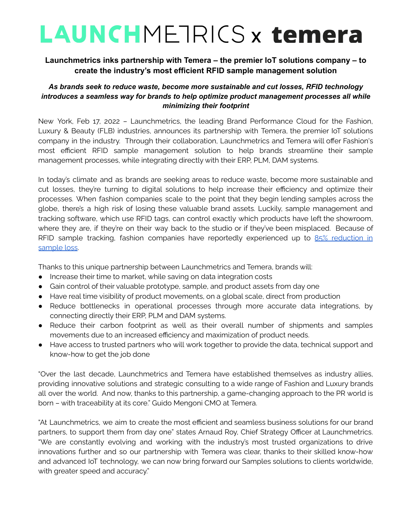# **LAUNCHMETRICS x temera**

## **Launchmetrics inks partnership with Temera – the premier IoT solutions company – to create the industry's most efficient RFID sample management solution**

### *As brands seek to reduce waste, become more sustainable and cut losses, RFID technology introduces a seamless way for brands to help optimize product management processes all while minimizing their footprint*

New York, Feb 17, 2022 – Launchmetrics, the leading Brand Performance Cloud for the Fashion, Luxury & Beauty (FLB) industries, announces its partnership with Temera, the premier IoT solutions company in the industry. Through their collaboration, Launchmetrics and Temera will offer Fashion's most efficient RFID sample management solution to help brands streamline their sample management processes, while integrating directly with their ERP, PLM, DAM systems.

In today's climate and as brands are seeking areas to reduce waste, become more sustainable and cut losses, they're turning to digital solutions to help increase their efficiency and optimize their processes. When fashion companies scale to the point that they begin lending samples across the globe, there's a high risk of losing these valuable brand assets. Luckily, sample management and tracking software, which use RFID tags, can control exactly which products have left the showroom, where they are, if they're on their way back to the studio or if they've been misplaced. Because of RFID sample tracking, fashion companies have reportedly experienced up to 85% [reduction](https://www.launchmetrics.com/software/samples-management) in [sample](https://www.launchmetrics.com/software/samples-management) loss.

Thanks to this unique partnership between Launchmetrics and Temera, brands will:

- Increase their time to market, while saving on data integration costs
- Gain control of their valuable prototype, sample, and product assets from day one
- Have real time visibility of product movements, on a global scale, direct from production
- Reduce bottlenecks in operational processes through more accurate data integrations, by connecting directly their ERP, PLM and DAM systems.
- Reduce their carbon footprint as well as their overall number of shipments and samples movements due to an increased efficiency and maximization of product needs.
- Have access to trusted partners who will work together to provide the data, technical support and know-how to get the job done

"Over the last decade, Launchmetrics and Temera have established themselves as industry allies, providing innovative solutions and strategic consulting to a wide range of Fashion and Luxury brands all over the world. And now, thanks to this partnership, a game-changing approach to the PR world is born – with traceability at its core." Guido Mengoni CMO at Temera.

"At Launchmetrics, we aim to create the most efficient and seamless business solutions for our brand partners, to support them from day one" states Arnaud Roy, Chief Strategy Officer at Launchmetrics. "We are constantly evolving and working with the industry's most trusted organizations to drive innovations further and so our partnership with Temera was clear, thanks to their skilled know-how and advanced IoT technology, we can now bring forward our Samples solutions to clients worldwide, with greater speed and accuracy."